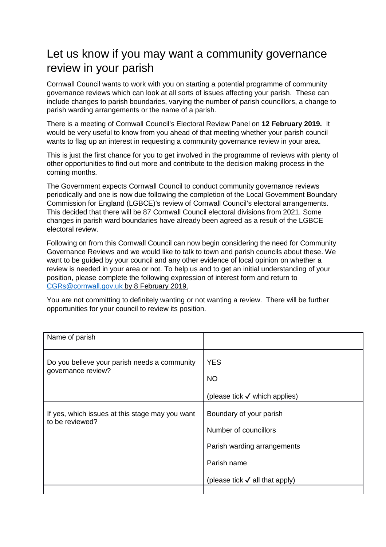## Let us know if you may want a community governance review in your parish

Cornwall Council wants to work with you on starting a potential programme of community governance reviews which can look at all sorts of issues affecting your parish. These can include changes to parish boundaries, varying the number of parish councillors, a change to parish warding arrangements or the name of a parish.

There is a meeting of Cornwall Council's Electoral Review Panel on **12 February 2019.** It would be very useful to know from you ahead of that meeting whether your parish council wants to flag up an interest in requesting a community governance review in your area.

This is just the first chance for you to get involved in the programme of reviews with plenty of other opportunities to find out more and contribute to the decision making process in the coming months.

The Government expects Cornwall Council to conduct community governance reviews periodically and one is now due following the completion of the Local Government Boundary Commission for England (LGBCE)'s review of Cornwall Council's electoral arrangements. This decided that there will be 87 Cornwall Council electoral divisions from 2021. Some changes in parish ward boundaries have already been agreed as a result of the LGBCE electoral review.

Following on from this Cornwall Council can now begin considering the need for Community Governance Reviews and we would like to talk to town and parish councils about these. We want to be guided by your council and any other evidence of local opinion on whether a review is needed in your area or not. To help us and to get an initial understanding of your position, please complete the following expression of interest form and return to CGRs@cornwall.gov.uk by 8 February 2019.

You are not committing to definitely wanting or not wanting a review. There will be further opportunities for your council to review its position.

| Name of parish                                                     |                                           |
|--------------------------------------------------------------------|-------------------------------------------|
| Do you believe your parish needs a community<br>governance review? | <b>YES</b>                                |
|                                                                    | <b>NO</b>                                 |
|                                                                    | (please tick $\checkmark$ which applies)  |
| If yes, which issues at this stage may you want<br>to be reviewed? | Boundary of your parish                   |
|                                                                    | Number of councillors                     |
|                                                                    | Parish warding arrangements               |
|                                                                    | Parish name                               |
|                                                                    | (please tick $\checkmark$ all that apply) |
|                                                                    |                                           |